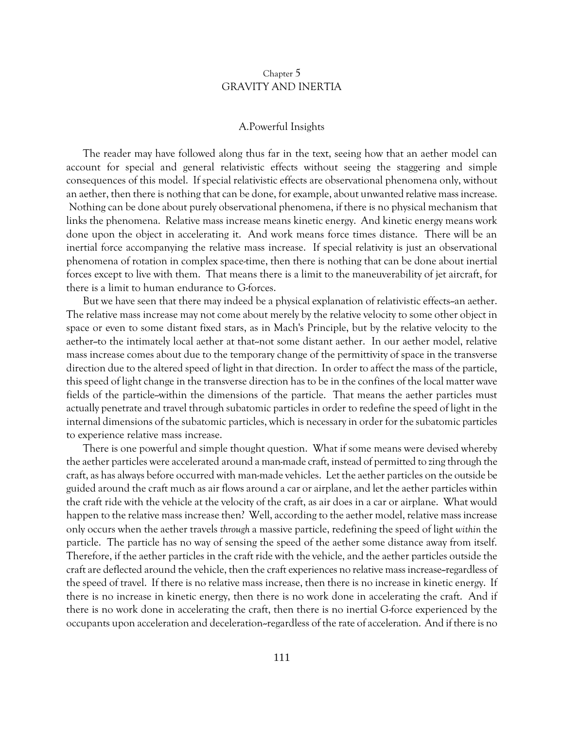# Chapter 5 GRAVITY AND INERTIA

## A.Powerful Insights

The reader may have followed along thus far in the text, seeing how that an aether model can account for special and general relativistic effects without seeing the staggering and simple consequences of this model. If special relativistic effects are observational phenomena only, without an aether, then there is nothing that can be done, for example, about unwanted relative mass increase. Nothing can be done about purely observational phenomena, if there is no physical mechanism that links the phenomena. Relative mass increase means kinetic energy. And kinetic energy means work done upon the object in accelerating it. And work means force times distance. There will be an inertial force accompanying the relative mass increase. If special relativity is just an observational phenomena of rotation in complex space-time, then there is nothing that can be done about inertial forces except to live with them. That means there is a limit to the maneuverability of jet aircraft, for there is a limit to human endurance to G-forces.

But we have seen that there may indeed be a physical explanation of relativistic effects-an aether. The relative mass increase may not come about merely by the relative velocity to some other object in space or even to some distant fixed stars, as in Mach's Principle, but by the relative velocity to the aether--to the intimately local aether at that--not some distant aether. In our aether model, relative mass increase comes about due to the temporary change of the permittivity of space in the transverse direction due to the altered speed of light in that direction. In order to affect the mass of the particle, this speed of light change in the transverse direction has to be in the confines of the local matter wave fields of the particle-within the dimensions of the particle. That means the aether particles must actually penetrate and travel through subatomic particles in order to redefine the speed of light in the internal dimensions of the subatomic particles, which is necessary in order for the subatomic particles to experience relative mass increase.

There is one powerful and simple thought question. What if some means were devised whereby the aether particles were accelerated around a man-made craft, instead of permitted to zing through the craft, as has always before occurred with man-made vehicles. Let the aether particles on the outside be guided around the craft much as air flows around a car or airplane, and let the aether particles within the craft ride with the vehicle at the velocity of the craft, as air does in a car or airplane. What would happen to the relative mass increase then? Well, according to the aether model, relative mass increase only occurs when the aether travels *through* a massive particle, redefining the speed of light *within* the particle. The particle has no way of sensing the speed of the aether some distance away from itself. Therefore, if the aether particles in the craft ride with the vehicle, and the aether particles outside the craft are deflected around the vehicle, then the craft experiences no relative mass increase--regardless of the speed of travel. If there is no relative mass increase, then there is no increase in kinetic energy. If there is no increase in kinetic energy, then there is no work done in accelerating the craft. And if there is no work done in accelerating the craft, then there is no inertial G-force experienced by the occupants upon acceleration and deceleration--regardless of the rate of acceleration. And if there is no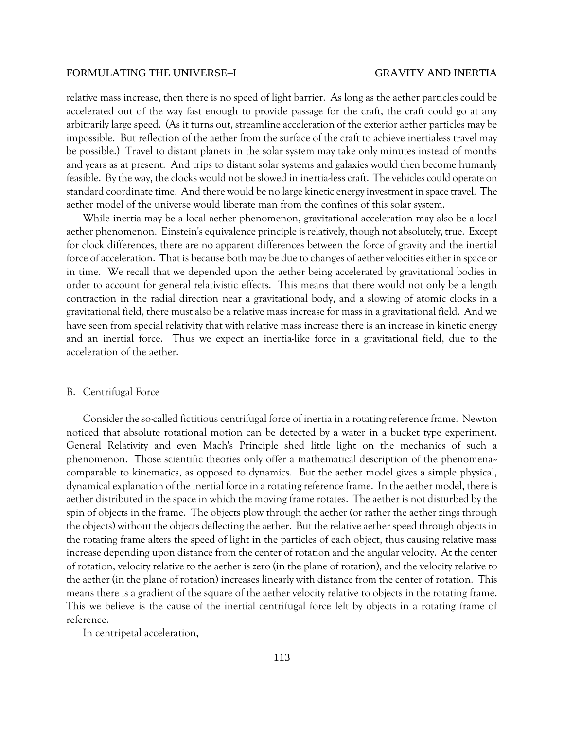relative mass increase, then there is no speed of light barrier. As long as the aether particles could be accelerated out of the way fast enough to provide passage for the craft, the craft could go at any arbitrarily large speed. (As it turns out, streamline acceleration of the exterior aether particles may be impossible. But reflection of the aether from the surface of the craft to achieve inertialess travel may be possible.) Travel to distant planets in the solar system may take only minutes instead of months and years as at present. And trips to distant solar systems and galaxies would then become humanly feasible. By the way, the clocks would not be slowed in inertia-less craft. The vehicles could operate on standard coordinate time. And there would be no large kinetic energy investment in space travel. The aether model of the universe would liberate man from the confines of this solar system.

While inertia may be a local aether phenomenon, gravitational acceleration may also be a local aether phenomenon. Einstein's equivalence principle is relatively, though not absolutely, true. Except for clock differences, there are no apparent differences between the force of gravity and the inertial force of acceleration. That is because both may be due to changes of aether velocities either in space or in time. We recall that we depended upon the aether being accelerated by gravitational bodies in order to account for general relativistic effects. This means that there would not only be a length contraction in the radial direction near a gravitational body, and a slowing of atomic clocks in a gravitational field, there must also be a relative mass increase for mass in a gravitational field. And we have seen from special relativity that with relative mass increase there is an increase in kinetic energy and an inertial force. Thus we expect an inertia-like force in a gravitational field, due to the acceleration of the aether.

### B. Centrifugal Force

Consider the so-called fictitious centrifugal force of inertia in a rotating reference frame. Newton noticed that absolute rotational motion can be detected by a water in a bucket type experiment. General Relativity and even Mach's Principle shed little light on the mechanics of such a phenomenon. Those scientific theories only offer a mathematical description of the phenomena- comparable to kinematics, as opposed to dynamics. But the aether model gives a simple physical, dynamical explanation of the inertial force in a rotating reference frame. In the aether model, there is aether distributed in the space in which the moving frame rotates. The aether is not disturbed by the spin of objects in the frame. The objects plow through the aether (or rather the aether zings through the objects) without the objects deflecting the aether. But the relative aether speed through objects in the rotating frame alters the speed of light in the particles of each object, thus causing relative mass increase depending upon distance from the center of rotation and the angular velocity. At the center of rotation, velocity relative to the aether is zero (in the plane of rotation), and the velocity relative to the aether (in the plane of rotation) increases linearly with distance from the center of rotation. This means there is a gradient of the square of the aether velocity relative to objects in the rotating frame. This we believe is the cause of the inertial centrifugal force felt by objects in a rotating frame of reference.

In centripetal acceleration,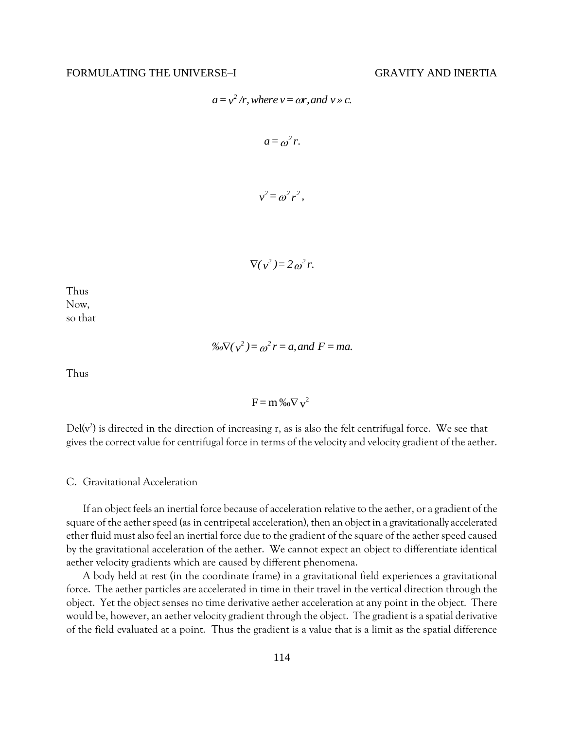$$
a = v^2/r
$$
, where  $v = \omega r$ , and  $v \gg c$ .

$$
a=\omega^2 r.
$$

$$
v^2 = \omega^2 r^2,
$$

$$
\nabla(\nu^2)=2\omega^2 r.
$$

Thus Now, so that

 $\%o\nabla(v^2) = o^2 r = a$ , and  $F = ma$ .

Thus

$$
F = m\%o\nabla v^2
$$

Del( $v^2$ ) is directed in the direction of increasing r, as is also the felt centrifugal force. We see that gives the correct value for centrifugal force in terms of the velocity and velocity gradient of the aether.

# C. Gravitational Acceleration

If an object feels an inertial force because of acceleration relative to the aether, or a gradient of the square of the aether speed (as in centripetal acceleration), then an object in a gravitationally accelerated ether fluid must also feel an inertial force due to the gradient of the square of the aether speed caused by the gravitational acceleration of the aether. We cannot expect an object to differentiate identical aether velocity gradients which are caused by different phenomena.

A body held at rest (in the coordinate frame) in a gravitational field experiences a gravitational force. The aether particles are accelerated in time in their travel in the vertical direction through the object. Yet the object senses no time derivative aether acceleration at any point in the object. There would be, however, an aether velocity gradient through the object. The gradient is a spatial derivative of the field evaluated at a point. Thus the gradient is a value that is a limit as the spatial difference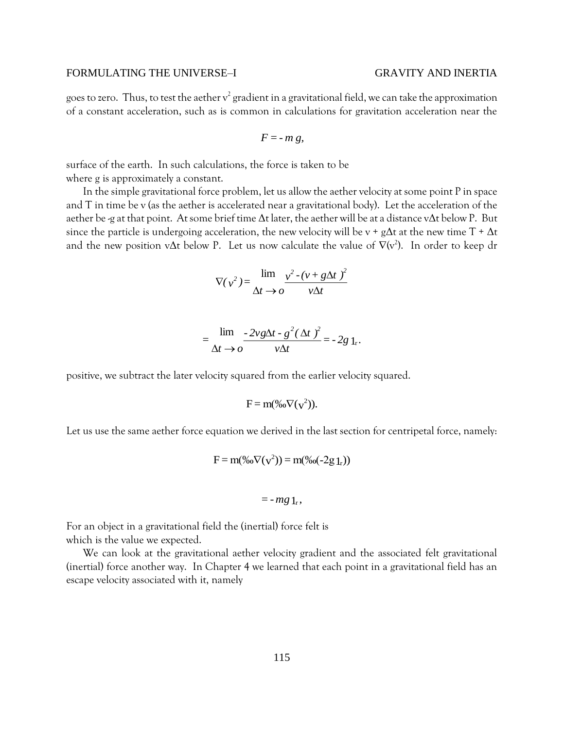goes to zero. Thus, to test the aether  $\rm v^2$  gradient in a gravitational field, we can take the approximation of a constant acceleration, such as is common in calculations for gravitation acceleration near the

$$
F = -m g,
$$

surface of the earth. In such calculations, the force is taken to be where g is approximately a constant.

In the simple gravitational force problem, let us allow the aether velocity at some point P in space and T in time be v (as the aether is accelerated near a gravitational body). Let the acceleration of the aether be -g at that point. At some brief time  $\Delta t$  later, the aether will be at a distance v $\Delta t$  below P. But since the particle is undergoing acceleration, the new velocity will be v + g $\Delta t$  at the new time T +  $\Delta t$ and the new position v $\Delta t$  below P. Let us now calculate the value of  $\nabla(v^2)$ . In order to keep dr

$$
\nabla(v^2) = \frac{\lim}{\Delta t \to o} \frac{v^2 - (v + g\Delta t)^2}{v\Delta t}
$$

$$
=\frac{\lim_{\Delta t\to 0} \frac{-2vg\Delta t\cdot g^2(\Delta t)^2}{v\Delta t}}{v\Delta t} = -2g_1.
$$

positive, we subtract the later velocity squared from the earlier velocity squared.

$$
F = m(\%o\nabla(v^2)).
$$

Let us use the same aether force equation we derived in the last section for centripetal force, namely:

$$
F = m(\%o\nabla(v^2)) = m(\%o(-2g_1_r))
$$

$$
= -mg \, 1_{r},
$$

For an object in a gravitational field the (inertial) force felt is which is the value we expected.

We can look at the gravitational aether velocity gradient and the associated felt gravitational (inertial) force another way. In Chapter 4 we learned that each point in a gravitational field has an escape velocity associated with it, namely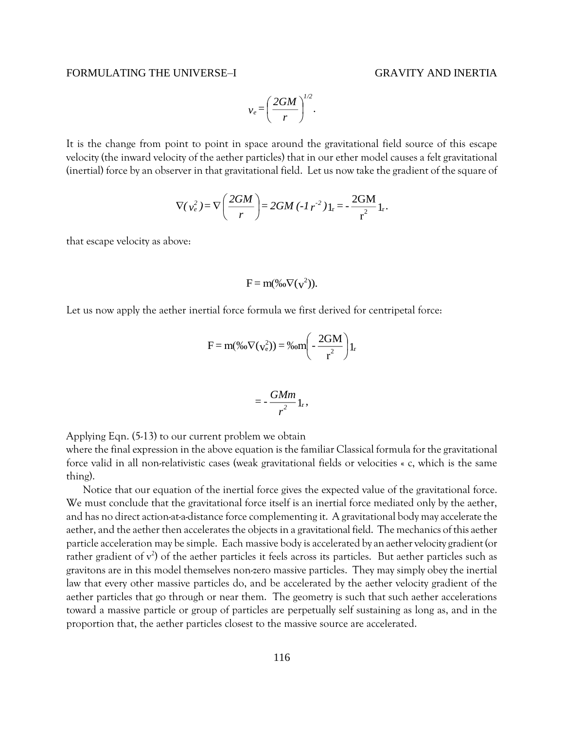$$
v_e = \left(\frac{2GM}{r}\right)^{1/2}.
$$

It is the change from point to point in space around the gravitational field source of this escape velocity (the inward velocity of the aether particles) that in our ether model causes a felt gravitational (inertial) force by an observer in that gravitational field. Let us now take the gradient of the square of

$$
\nabla(v_e^2) = \nabla \left(\frac{2GM}{r}\right) = 2GM \left(\frac{1}{r^2}\right)1_r = -\frac{2GM}{r^2}1_r.
$$

that escape velocity as above:

$$
F = m(\%o\nabla(v^2)).
$$

Let us now apply the aether inertial force formula we first derived for centripetal force:

$$
F = m(\% \nabla(v_e^2)) = \% \nom \left(-\frac{2GM}{r^2}\right) 1_r
$$

$$
=-\frac{GMm}{r^2}\,1_r,
$$

Applying Eqn. (5-13) to our current problem we obtain

where the final expression in the above equation is the familiar Classical formula for the gravitational force valid in all non-relativistic cases (weak gravitational fields or velocities « c, which is the same thing).

Notice that our equation of the inertial force gives the expected value of the gravitational force. We must conclude that the gravitational force itself is an inertial force mediated only by the aether, and has no direct action-at-a-distance force complementing it. A gravitational body may accelerate the aether, and the aether then accelerates the objects in a gravitational field. The mechanics of this aether particle acceleration may be simple. Each massive body is accelerated by an aether velocity gradient (or rather gradient of  $v^2$ ) of the aether particles it feels across its particles. But aether particles such as gravitons are in this model themselves non-zero massive particles. They may simply obey the inertial law that every other massive particles do, and be accelerated by the aether velocity gradient of the aether particles that go through or near them. The geometry is such that such aether accelerations toward a massive particle or group of particles are perpetually self sustaining as long as, and in the proportion that, the aether particles closest to the massive source are accelerated.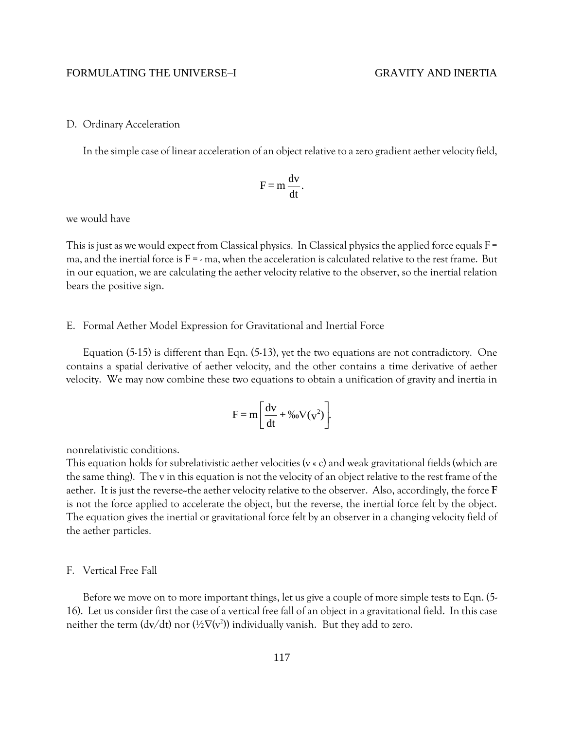## D. Ordinary Acceleration

In the simple case of linear acceleration of an object relative to a zero gradient aether velocity field,

$$
F = m \frac{dv}{dt}.
$$

we would have

This is just as we would expect from Classical physics. In Classical physics the applied force equals  $F =$ ma, and the inertial force is  $F = -m$ a, when the acceleration is calculated relative to the rest frame. But in our equation, we are calculating the aether velocity relative to the observer, so the inertial relation bears the positive sign.

### E. Formal Aether Model Expression for Gravitational and Inertial Force

Equation (5-15) is different than Eqn. (5-13), yet the two equations are not contradictory. One contains a spatial derivative of aether velocity, and the other contains a time derivative of aether velocity. We may now combine these two equations to obtain a unification of gravity and inertia in

$$
F = m \left[ \frac{dv}{dt} + \%o \nabla(v^2) \right].
$$

nonrelativistic conditions.

This equation holds for subrelativistic aether velocities (v « c) and weak gravitational fields (which are the same thing). The v in this equation is not the velocity of an object relative to the rest frame of the aether. It is just the reverse--the aether velocity relative to the observer. Also, accordingly, the force **F** is not the force applied to accelerate the object, but the reverse, the inertial force felt by the object. The equation gives the inertial or gravitational force felt by an observer in a changing velocity field of the aether particles.

### F. Vertical Free Fall

Before we move on to more important things, let us give a couple of more simple tests to Eqn. (5-16). Let us consider first the case of a vertical free fall of an object in a gravitational field. In this case neither the term (dv/dt) nor (½ $\nabla$ (v<sup>2</sup>)) individually vanish. But they add to zero.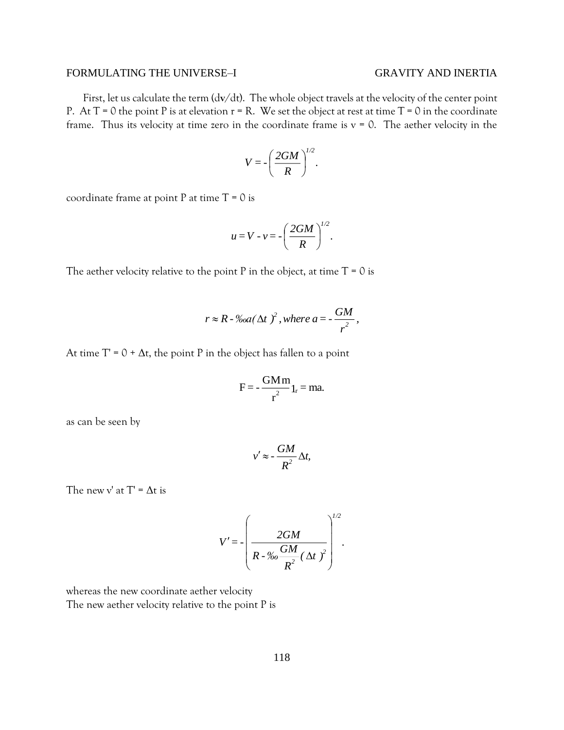First, let us calculate the term (d**v**/dt). The whole object travels at the velocity of the center point P. At  $T = 0$  the point P is at elevation  $r = R$ . We set the object at rest at time  $T = 0$  in the coordinate frame. Thus its velocity at time zero in the coordinate frame is  $v = 0$ . The aether velocity in the

$$
V=-\left(\frac{2GM}{R}\right)^{1/2}.
$$

coordinate frame at point P at time  $T = 0$  is

$$
u=V\cdot v=-\left(\frac{2GM}{R}\right)^{1/2}.
$$

The aether velocity relative to the point P in the object, at time  $T = 0$  is

$$
r \approx R \cdot \frac{6d}{\Delta t} \left(\Delta t\right)^2, \text{ where } a = -\frac{GM}{r^2},
$$

At time  $T' = 0 + \Delta t$ , the point P in the object has fallen to a point

$$
F = -\frac{GMm}{r^2}1_r = ma.
$$

as can be seen by

$$
v' \approx -\frac{GM}{R^2} \Delta t,
$$

The new v' at  $T' = \Delta t$  is

$$
V' = -\left(\frac{2GM}{R - \% \sigma \frac{GM}{R^2} (\Delta t)^2}\right)^{1/2}.
$$

whereas the new coordinate aether velocity The new aether velocity relative to the point P is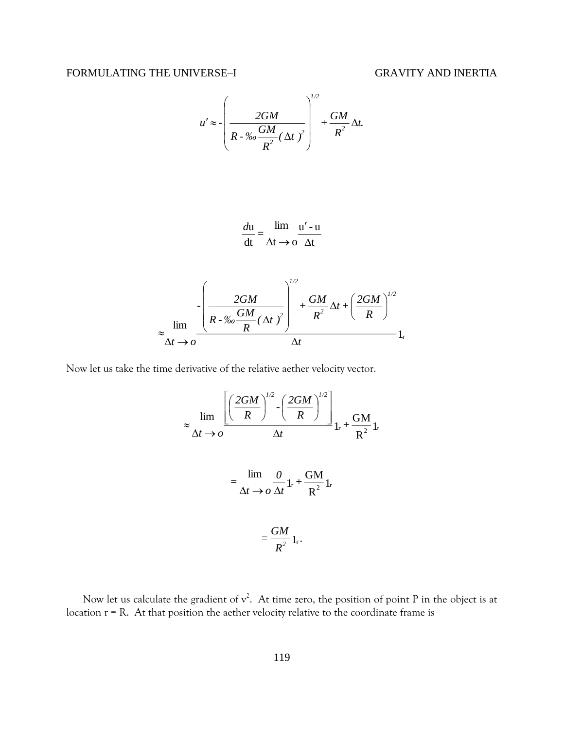$$
u' \approx -\left(\frac{2GM}{R - \% \frac{GM}{R^2}(\Delta t)^2}\right)^{1/2} + \frac{GM}{R^2}\Delta t.
$$

$$
\frac{du}{dt} = \frac{\lim}{\Delta t \to 0} \frac{u' - u}{\Delta t}
$$

$$
\approx \lim_{\Delta t \to 0} \frac{\left[ \frac{2GM}{R - \%6} \frac{GM}{R} (\Delta t)^2 \right]^{1/2} + \frac{GM}{R^2} \Delta t + \left( \frac{2GM}{R} \right)^{1/2}}{\Delta t} \, \mathrm{1}_{\mathrm{r}}
$$

Now let us take the time derivative of the relative aether velocity vector.

$$
\approx \lim_{\Delta t \to 0} \frac{\left[ \left( \frac{2GM}{R} \right)^{1/2} - \left( \frac{2GM}{R} \right)^{1/2} \right]_{1r} + \frac{GM}{R^2} 1r}{\Delta t \to 0 \Delta t} 1_r + \frac{GM}{R^2} 1_r
$$

$$
= \frac{GM}{\Delta t \to 0 \Delta t} 1_r + \frac{GM}{R^2} 1_r
$$

$$
= \frac{GM}{R^2} 1_r.
$$

Now let us calculate the gradient of  $v^2$ . At time zero, the position of point P in the object is at location r = R. At that position the aether velocity relative to the coordinate frame is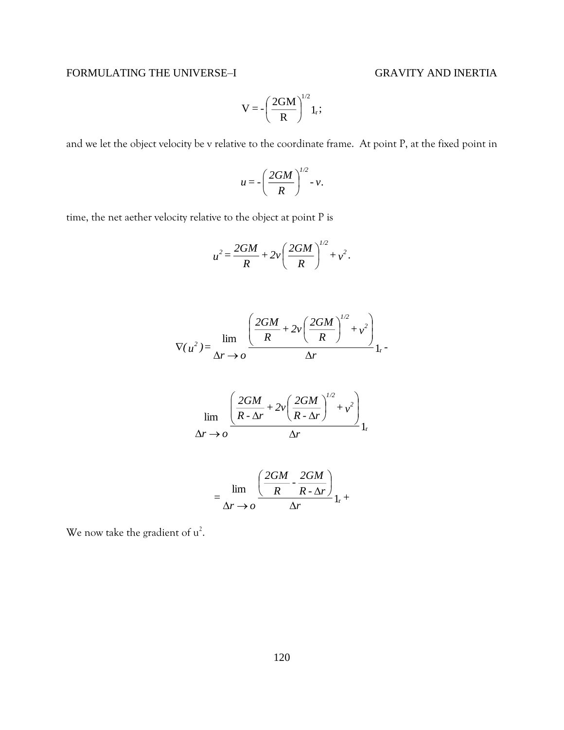$$
V = -\left(\frac{2GM}{R}\right)^{1/2}1_r;
$$

and we let the object velocity be v relative to the coordinate frame. At point P, at the fixed point in

$$
u=-\left(\frac{2GM}{R}\right)^{1/2}-v.
$$

time, the net aether velocity relative to the object at point P is

$$
u^{2} = \frac{2GM}{R} + 2v\left(\frac{2GM}{R}\right)^{1/2} + v^{2}.
$$

$$
\nabla(u^2) = \lim_{\Delta r \to 0} \frac{\left(\frac{2GM}{R} + 2v\left(\frac{2GM}{R}\right)^{1/2} + v^2\right)}{\Delta r} 1.
$$

$$
\lim_{\Delta r \to o} \frac{\left(\frac{2GM}{R \cdot \Delta r} + 2v \left(\frac{2GM}{R \cdot \Delta r}\right)^{1/2} + v^2\right)}{\Delta r}_{1_r}
$$

$$
= \lim_{\Delta r \to o} \frac{\left(\frac{2GM}{R} \cdot \frac{2GM}{R \cdot \Delta r}\right)}{\Delta r}_{1_r} +
$$

We now take the gradient of  $u^2$ .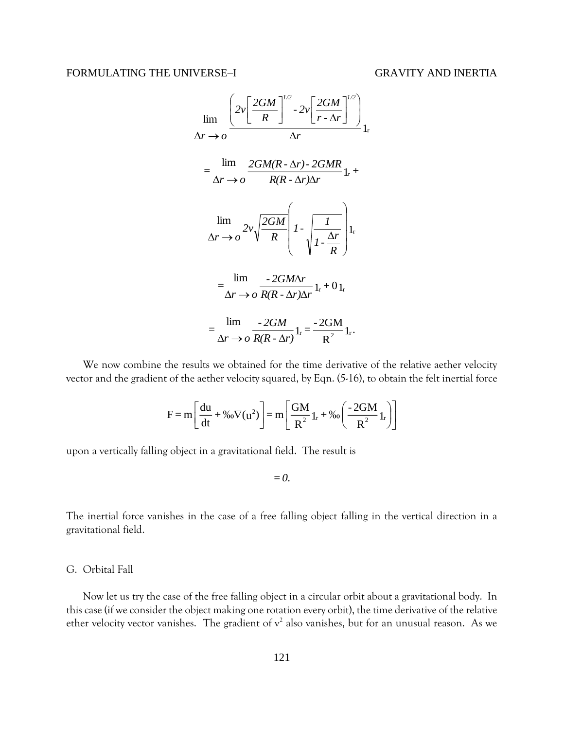$$
\lim_{\Delta r \to o} \frac{\left(2v\left[\frac{2GM}{R}\right]^{1/2} \cdot 2v\left[\frac{2GM}{r \cdot \Delta r}\right]^{1/2}\right)}{\Delta r} \Big|_{1r}
$$
\n
$$
= \frac{\lim_{\Delta r \to o} \frac{2GM(R \cdot \Delta r) \cdot 2GMR}{R(R \cdot \Delta r)\Delta r} \Big|_{1r} +
$$
\n
$$
\lim_{\Delta r \to o} \frac{2v\sqrt{\frac{2GM}{R}} \left(1 - \sqrt{\frac{1}{1 - \frac{\Delta r}{R}}}\right) \Big|_{1r}}{\sqrt{1 - \frac{\Delta r}{R}}} \Big|_{1r}
$$
\n
$$
= \frac{\lim_{\Delta r \to o} \frac{-2GM\Delta r}{R(R \cdot \Delta r)\Delta r} \Big|_{1r} + 0 \Big|_{1r}}{\Delta r \to o} \frac{-2GM}{R(R \cdot \Delta r)} \Big|_{1r} = \frac{-2GM}{R^2} \Big|_{1r}.
$$

We now combine the results we obtained for the time derivative of the relative aether velocity vector and the gradient of the aether velocity squared, by Eqn. (5-16), to obtain the felt inertial force

$$
F = m \left[ \frac{du}{dt} + \%_0 \nabla (u^2) \right] = m \left[ \frac{GM}{R^2} I_r + \%_0 \left( \frac{-2GM}{R^2} I_r \right) \right]
$$

upon a vertically falling object in a gravitational field. The result is

*=0.*

The inertial force vanishes in the case of a free falling object falling in the vertical direction in a gravitational field.

# G. Orbital Fall

Now let us try the case of the free falling object in a circular orbit about a gravitational body. In this case (if we consider the object making one rotation every orbit), the time derivative of the relative ether velocity vector vanishes. The gradient of  $v^2$  also vanishes, but for an unusual reason. As we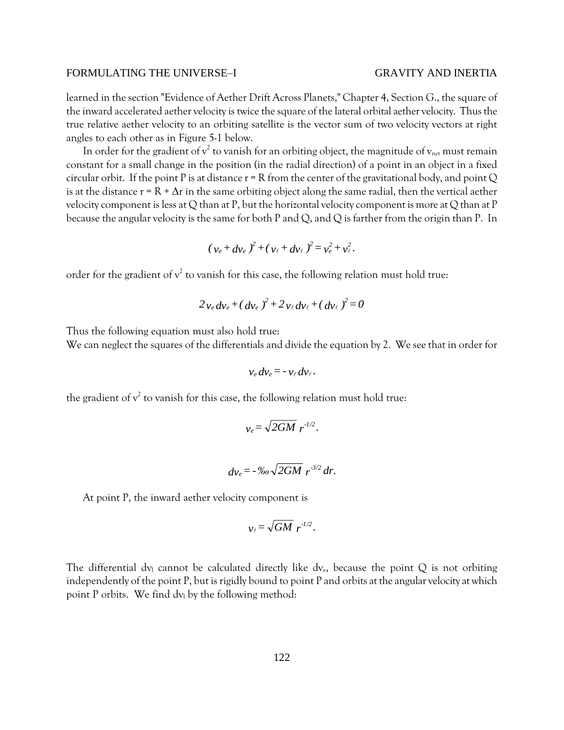learned in the section "Evidence of Aether Drift Across Planets," Chapter 4, Section G., the square of the inward accelerated aether velocity is twice the square of the lateral orbital aether velocity. Thus the true relative aether velocity to an orbiting satellite is the vector sum of two velocity vectors at right angles to each other as in Figure 5-1 below.

In order for the gradient of  $v^2$  to vanish for an orbiting object, the magnitude of  $v_{\text{net}}$  must remain constant for a small change in the position (in the radial direction) of a point in an object in a fixed circular orbit. If the point P is at distance  $r = R$  from the center of the gravitational body, and point Q is at the distance  $r = R + \Delta r$  in the same orbiting object along the same radial, then the vertical aether velocity component is less at Q than at P, but the horizontal velocity component is more at Q than at P because the angular velocity is the same for both P and Q, and Q is farther from the origin than P. In

$$
(v_e + dv_e)^2 + (v_\ell + dv_\ell)^2 = v_e^2 + v_\ell^2
$$
.

order for the gradient of  $v^2$  to vanish for this case, the following relation must hold true:

$$
2v_e dv_e + (dv_e)^2 + 2v_e dv_e + (dv_e)^2 = 0
$$

Thus the following equation must also hold true:

We can neglect the squares of the differentials and divide the equation by 2. We see that in order for

$$
v_e dv_e = -v_\ell dv_\ell.
$$

the gradient of  $v^2$  to vanish for this case, the following relation must hold true:

$$
v_e = \sqrt{2GM} r^{1/2}.
$$

$$
dv_e = -\frac{9}{60}\sqrt{2GM} r^{3/2} dr.
$$

At point P, the inward aether velocity component is

$$
v_{\ell} = \sqrt{GM} r^{1/2}.
$$

The differential dv<sub>1</sub> cannot be calculated directly like dv<sub>e</sub>, because the point Q is not orbiting independently of the point P, but is rigidly bound to point P and orbits at the angular velocity at which point P orbits. We find  $dv_1$  by the following method: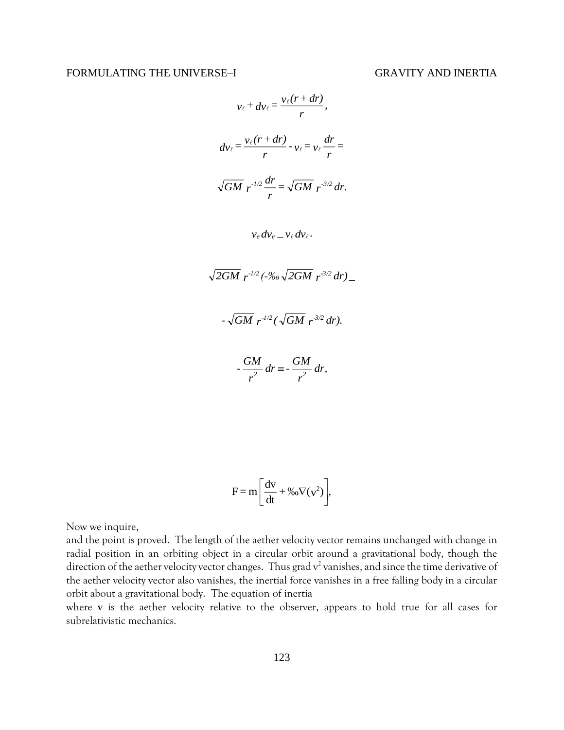$$
v_{\ell} + dv_{\ell} = \frac{v_{\ell}(r + dr)}{r},
$$
  
\n
$$
dv_{\ell} = \frac{v_{\ell}(r + dr)}{r} - v_{\ell} = v_{\ell} \frac{dr}{r} =
$$
  
\n
$$
\sqrt{GM} r^{-1/2} \frac{dr}{r} = \sqrt{GM} r^{-3/2} dr.
$$
  
\n
$$
v_{\ell} dv_{\ell} = v_{\ell} dv_{\ell}.
$$
  
\n
$$
\sqrt{2GM} r^{-1/2} (-\%0 \sqrt{2GM} r^{-3/2} dr).
$$
  
\n
$$
- \sqrt{GM} r^{-1/2} (\sqrt{GM} r^{-3/2} dr).
$$

$$
-\frac{GM}{r^2}dr \equiv -\frac{GM}{r^2}dr,
$$

$$
F = m \left[ \frac{dv}{dt} + %_0 \nabla (v^2) \right],
$$

Now we inquire,

and the point is proved. The length of the aether velocity vector remains unchanged with change in radial position in an orbiting object in a circular orbit around a gravitational body, though the direction of the aether velocity vector changes. Thus grad  $v^2$  vanishes, and since the time derivative of the aether velocity vector also vanishes, the inertial force vanishes in a free falling body in a circular orbit about a gravitational body. The equation of inertia

where **v** is the aether velocity relative to the observer, appears to hold true for all cases for subrelativistic mechanics.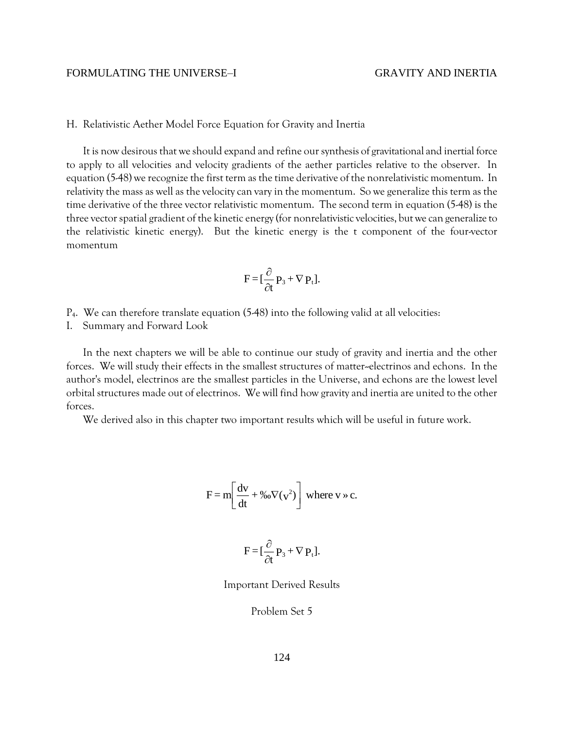H. Relativistic Aether Model Force Equation for Gravity and Inertia

It is now desirous that we should expand and refine our synthesis of gravitational and inertial force to apply to all velocities and velocity gradients of the aether particles relative to the observer. In equation (5-48) we recognize the first term as the time derivative of the nonrelativistic momentum. In relativity the mass as well as the velocity can vary in the momentum. So we generalize this term as the time derivative of the three vector relativistic momentum. The second term in equation (5-48) is the three vector spatial gradient of the kinetic energy (for nonrelativistic velocities, but we can generalize to the relativistic kinetic energy). But the kinetic energy is the t component of the four-vector momentum

$$
F = [\frac{\partial}{\partial t} P_3 + \nabla P_t].
$$

- $P_4$ . We can therefore translate equation (5-48) into the following valid at all velocities:
- I. Summary and Forward Look

In the next chapters we will be able to continue our study of gravity and inertia and the other forces. We will study their effects in the smallest structures of matter--electrinos and echons. In the author's model, electrinos are the smallest particles in the Universe, and echons are the lowest level orbital structures made out of electrinos. We will find how gravity and inertia are united to the other forces.

We derived also in this chapter two important results which will be useful in future work.

$$
F = m \left[ \frac{dv}{dt} + \frac{v_0 v}{v^2} \right] \text{ where } v \gg c.
$$

$$
F = [\frac{\partial}{\partial t} P_3 + \nabla P_t].
$$

Important Derived Results

Problem Set 5